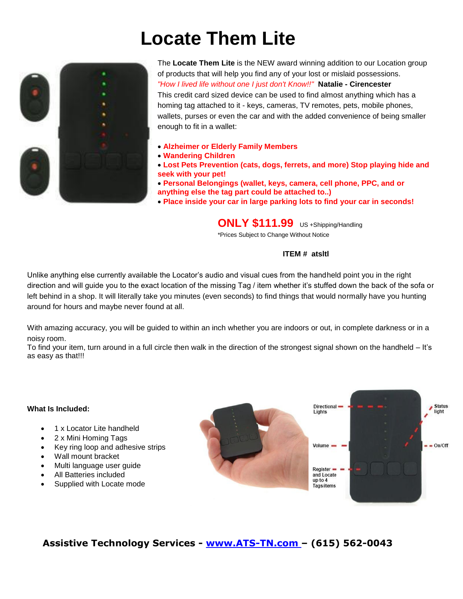# **Locate Them Lite**



The **Locate Them Lite** is the NEW award winning addition to our Location group of products that will help you find any of your lost or mislaid possessions. *"How I lived life without one I just don't Know!!"* **Natalie - Cirencester** This credit card sized device can be used to find almost anything which has a homing tag attached to it - keys, cameras, TV remotes, pets, mobile phones, wallets, purses or even the car and with the added convenience of being smaller enough to fit in a wallet:

- **Alzheimer or Elderly Family Members**
- **Wandering Children**
- **Lost Pets Prevention (cats, dogs, ferrets, and more) Stop playing hide and seek with your pet!**
- **Personal Belongings (wallet, keys, camera, cell phone, PPC, and or anything else the tag part could be attached to..)**
- **Place inside your car in large parking lots to find your car in seconds!**

# **ONLY \$111.99** US +Shipping/Handling

\*Prices Subject to Change Without Notice

#### **ITEM # atsltl**

Unlike anything else currently available the Locator's audio and visual cues from the handheld point you in the right direction and will guide you to the exact location of the missing Tag / item whether it's stuffed down the back of the sofa or left behind in a shop. It will literally take you minutes (even seconds) to find things that would normally have you hunting around for hours and maybe never found at all.

With amazing accuracy, you will be guided to within an inch whether you are indoors or out, in complete darkness or in a noisy room.

To find your item, turn around in a full circle then walk in the direction of the strongest signal shown on the handheld – It's as easy as that!!!

#### **What Is Included:**

- 1 x Locator Lite handheld
- 2 x Mini Homing Tags
- Key ring loop and adhesive strips
- Wall mount bracket
- Multi language user guide
- All Batteries included
- Supplied with Locate mode



### **Assistive Technology Services - [www.ATS-TN.com](http://www.ats-tn.com/) – (615) 562-0043**